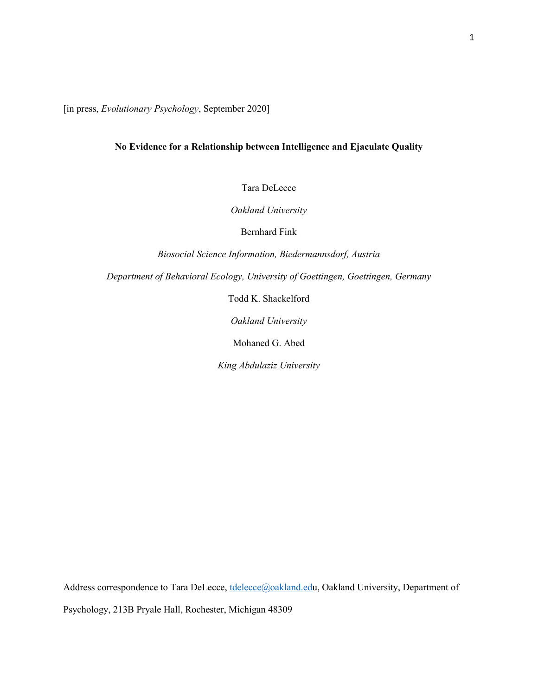[in press, *Evolutionary Psychology*, September 2020]

# **No Evidence for a Relationship between Intelligence and Ejaculate Quality**

Tara DeLecce

*Oakland University*

Bernhard Fink

*Biosocial Science Information, Biedermannsdorf, Austria*

*Department of Behavioral Ecology, University of Goettingen, Goettingen, Germany*

Todd K. Shackelford

*Oakland University*

Mohaned G. Abed

*King Abdulaziz University*

Address correspondence to Tara DeLecce, tdelecce@oakland.edu, Oakland University, Department of

Psychology, 213B Pryale Hall, Rochester, Michigan 48309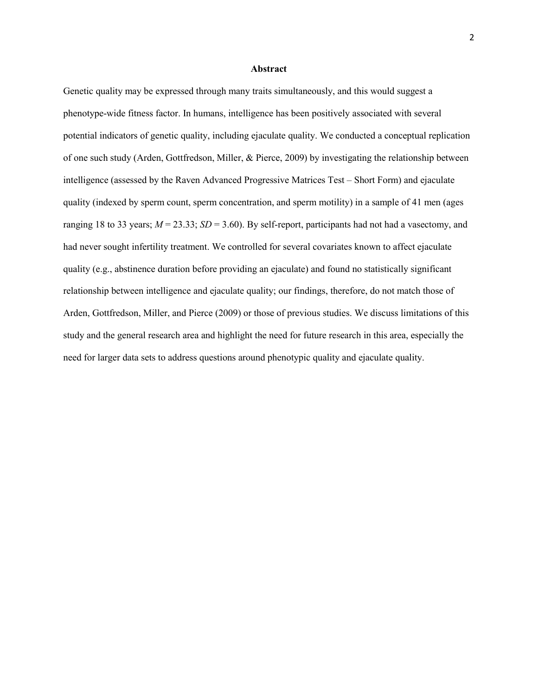#### **Abstract**

Genetic quality may be expressed through many traits simultaneously, and this would suggest a phenotype-wide fitness factor. In humans, intelligence has been positively associated with several potential indicators of genetic quality, including ejaculate quality. We conducted a conceptual replication of one such study (Arden, Gottfredson, Miller, & Pierce, 2009) by investigating the relationship between intelligence (assessed by the Raven Advanced Progressive Matrices Test – Short Form) and ejaculate quality (indexed by sperm count, sperm concentration, and sperm motility) in a sample of 41 men (ages ranging 18 to 33 years;  $M = 23.33$ ;  $SD = 3.60$ ). By self-report, participants had not had a vasectomy, and had never sought infertility treatment. We controlled for several covariates known to affect ejaculate quality (e.g., abstinence duration before providing an ejaculate) and found no statistically significant relationship between intelligence and ejaculate quality; our findings, therefore, do not match those of Arden, Gottfredson, Miller, and Pierce (2009) or those of previous studies. We discuss limitations of this study and the general research area and highlight the need for future research in this area, especially the need for larger data sets to address questions around phenotypic quality and ejaculate quality.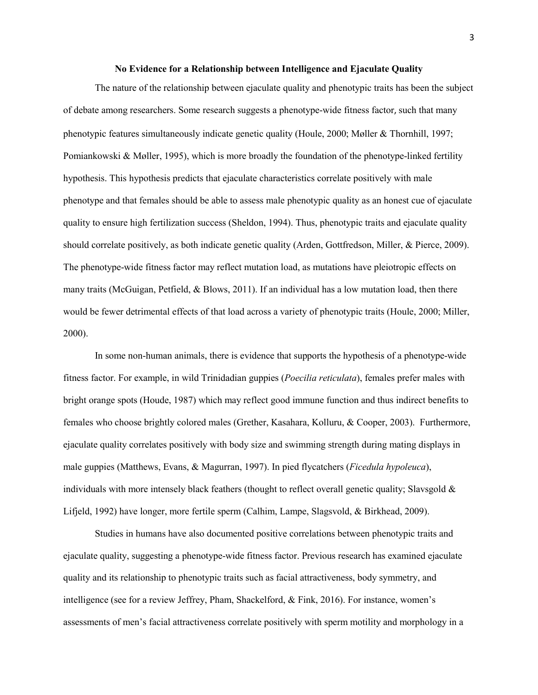#### **No Evidence for a Relationship between Intelligence and Ejaculate Quality**

The nature of the relationship between ejaculate quality and phenotypic traits has been the subject of debate among researchers. Some research suggests a phenotype-wide fitness factor, such that many phenotypic features simultaneously indicate genetic quality (Houle, 2000; Møller & Thornhill, 1997; Pomiankowski & Møller, 1995), which is more broadly the foundation of the phenotype-linked fertility hypothesis. This hypothesis predicts that ejaculate characteristics correlate positively with male phenotype and that females should be able to assess male phenotypic quality as an honest cue of ejaculate quality to ensure high fertilization success (Sheldon, 1994). Thus, phenotypic traits and ejaculate quality should correlate positively, as both indicate genetic quality (Arden, Gottfredson, Miller, & Pierce, 2009). The phenotype-wide fitness factor may reflect mutation load, as mutations have pleiotropic effects on many traits (McGuigan, Petfield, & Blows, 2011). If an individual has a low mutation load, then there would be fewer detrimental effects of that load across a variety of phenotypic traits (Houle, 2000; Miller, 2000).

In some non-human animals, there is evidence that supports the hypothesis of a phenotype-wide fitness factor. For example, in wild Trinidadian guppies (*Poecilia reticulata*), females prefer males with bright orange spots (Houde, 1987) which may reflect good immune function and thus indirect benefits to females who choose brightly colored males (Grether, Kasahara, Kolluru, & Cooper, 2003). Furthermore, ejaculate quality correlates positively with body size and swimming strength during mating displays in male guppies (Matthews, Evans, & Magurran, 1997). In pied flycatchers (*Ficedula hypoleuca*), individuals with more intensely black feathers (thought to reflect overall genetic quality; Slavsgold & Lifjeld, 1992) have longer, more fertile sperm (Calhim, Lampe, Slagsvold, & Birkhead, 2009).

Studies in humans have also documented positive correlations between phenotypic traits and ejaculate quality, suggesting a phenotype-wide fitness factor. Previous research has examined ejaculate quality and its relationship to phenotypic traits such as facial attractiveness, body symmetry, and intelligence (see for a review Jeffrey, Pham, Shackelford, & Fink, 2016). For instance, women's assessments of men's facial attractiveness correlate positively with sperm motility and morphology in a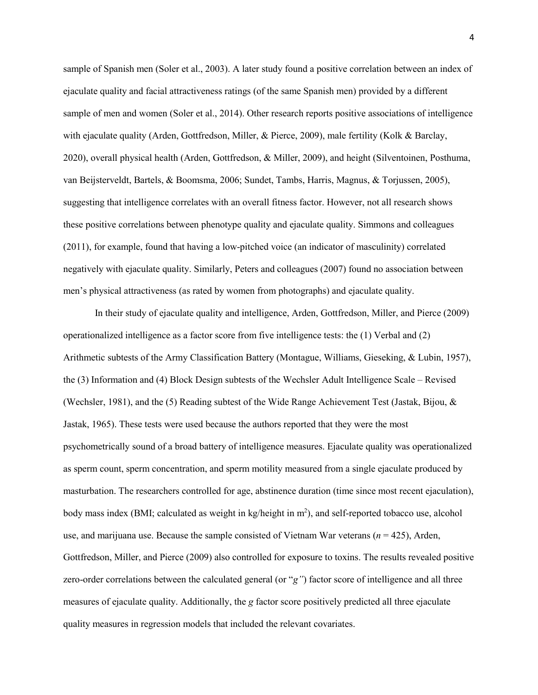sample of Spanish men (Soler et al., 2003). A later study found a positive correlation between an index of ejaculate quality and facial attractiveness ratings (of the same Spanish men) provided by a different sample of men and women (Soler et al., 2014). Other research reports positive associations of intelligence with ejaculate quality (Arden, Gottfredson, Miller, & Pierce, 2009), male fertility (Kolk & Barclay, 2020), overall physical health (Arden, Gottfredson, & Miller, 2009), and height (Silventoinen, Posthuma, van Beijsterveldt, Bartels, & Boomsma, 2006; Sundet, Tambs, Harris, Magnus, & Torjussen, 2005), suggesting that intelligence correlates with an overall fitness factor. However, not all research shows these positive correlations between phenotype quality and ejaculate quality. Simmons and colleagues (2011), for example, found that having a low-pitched voice (an indicator of masculinity) correlated negatively with ejaculate quality. Similarly, Peters and colleagues (2007) found no association between men's physical attractiveness (as rated by women from photographs) and ejaculate quality.

In their study of ejaculate quality and intelligence, Arden, Gottfredson, Miller, and Pierce (2009) operationalized intelligence as a factor score from five intelligence tests: the (1) Verbal and (2) Arithmetic subtests of the Army Classification Battery (Montague, Williams, Gieseking, & Lubin, 1957), the (3) Information and (4) Block Design subtests of the Wechsler Adult Intelligence Scale – Revised (Wechsler, 1981), and the (5) Reading subtest of the Wide Range Achievement Test (Jastak, Bijou, & Jastak, 1965). These tests were used because the authors reported that they were the most psychometrically sound of a broad battery of intelligence measures. Ejaculate quality was operationalized as sperm count, sperm concentration, and sperm motility measured from a single ejaculate produced by masturbation. The researchers controlled for age, abstinence duration (time since most recent ejaculation), body mass index (BMI; calculated as weight in kg/height in m<sup>2</sup>), and self-reported tobacco use, alcohol use, and marijuana use. Because the sample consisted of Vietnam War veterans (*n* = 425), Arden, Gottfredson, Miller, and Pierce (2009) also controlled for exposure to toxins. The results revealed positive zero-order correlations between the calculated general (or "*g"*) factor score of intelligence and all three measures of ejaculate quality. Additionally, the *g* factor score positively predicted all three ejaculate quality measures in regression models that included the relevant covariates.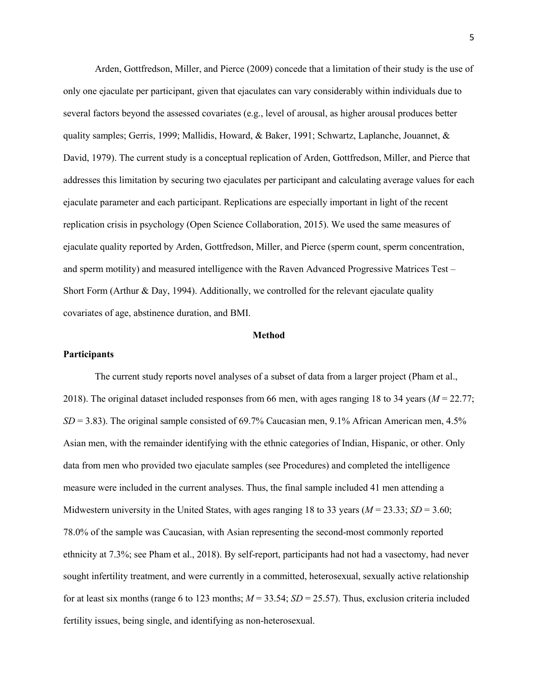Arden, Gottfredson, Miller, and Pierce (2009) concede that a limitation of their study is the use of only one ejaculate per participant, given that ejaculates can vary considerably within individuals due to several factors beyond the assessed covariates (e.g., level of arousal, as higher arousal produces better quality samples; Gerris, 1999; Mallidis, Howard, & Baker, 1991; Schwartz, Laplanche, Jouannet, & David, 1979). The current study is a conceptual replication of Arden, Gottfredson, Miller, and Pierce that addresses this limitation by securing two ejaculates per participant and calculating average values for each ejaculate parameter and each participant. Replications are especially important in light of the recent replication crisis in psychology (Open Science Collaboration, 2015). We used the same measures of ejaculate quality reported by Arden, Gottfredson, Miller, and Pierce (sperm count, sperm concentration, and sperm motility) and measured intelligence with the Raven Advanced Progressive Matrices Test – Short Form (Arthur & Day, 1994). Additionally, we controlled for the relevant ejaculate quality covariates of age, abstinence duration, and BMI.

### **Method**

### **Participants**

The current study reports novel analyses of a subset of data from a larger project (Pham et al., 2018). The original dataset included responses from 66 men, with ages ranging 18 to 34 years (*M* = 22.77;  $SD = 3.83$ ). The original sample consisted of 69.7% Caucasian men, 9.1% African American men, 4.5% Asian men, with the remainder identifying with the ethnic categories of Indian, Hispanic, or other. Only data from men who provided two ejaculate samples (see Procedures) and completed the intelligence measure were included in the current analyses. Thus, the final sample included 41 men attending a Midwestern university in the United States, with ages ranging 18 to 33 years ( $M = 23.33$ ;  $SD = 3.60$ ; 78.0% of the sample was Caucasian, with Asian representing the second-most commonly reported ethnicity at 7.3%; see Pham et al., 2018). By self-report, participants had not had a vasectomy, had never sought infertility treatment, and were currently in a committed, heterosexual, sexually active relationship for at least six months (range 6 to 123 months;  $M = 33.54$ ;  $SD = 25.57$ ). Thus, exclusion criteria included fertility issues, being single, and identifying as non-heterosexual.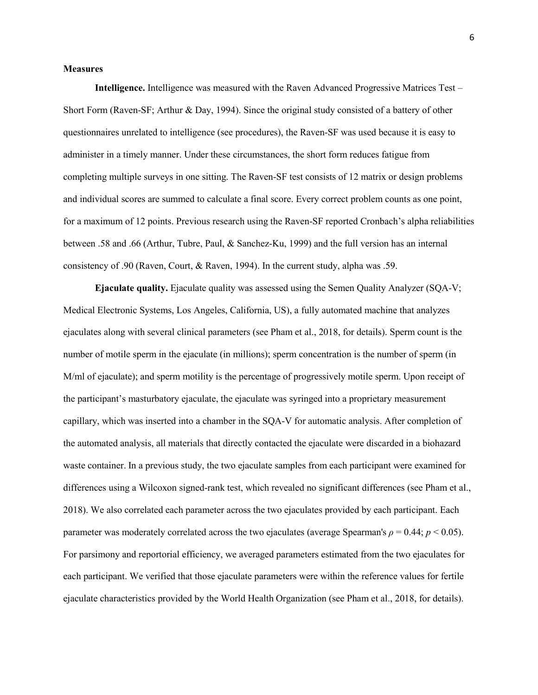### **Measures**

**Intelligence.** Intelligence was measured with the Raven Advanced Progressive Matrices Test – Short Form (Raven-SF; Arthur & Day, 1994). Since the original study consisted of a battery of other questionnaires unrelated to intelligence (see procedures), the Raven-SF was used because it is easy to administer in a timely manner. Under these circumstances, the short form reduces fatigue from completing multiple surveys in one sitting. The Raven-SF test consists of 12 matrix or design problems and individual scores are summed to calculate a final score. Every correct problem counts as one point, for a maximum of 12 points. Previous research using the Raven-SF reported Cronbach's alpha reliabilities between .58 and .66 (Arthur, Tubre, Paul, & Sanchez-Ku, 1999) and the full version has an internal consistency of .90 (Raven, Court, & Raven, 1994). In the current study, alpha was .59.

**Ejaculate quality.** Ejaculate quality was assessed using the Semen Quality Analyzer (SQA-V; Medical Electronic Systems, Los Angeles, California, US), a fully automated machine that analyzes ejaculates along with several clinical parameters (see Pham et al., 2018, for details). Sperm count is the number of motile sperm in the ejaculate (in millions); sperm concentration is the number of sperm (in M/ml of ejaculate); and sperm motility is the percentage of progressively motile sperm. Upon receipt of the participant's masturbatory ejaculate, the ejaculate was syringed into a proprietary measurement capillary, which was inserted into a chamber in the SQA-V for automatic analysis. After completion of the automated analysis, all materials that directly contacted the ejaculate were discarded in a biohazard waste container. In a previous study, the two ejaculate samples from each participant were examined for differences using a Wilcoxon signed-rank test, which revealed no significant differences (see Pham et al., 2018). We also correlated each parameter across the two ejaculates provided by each participant. Each parameter was moderately correlated across the two ejaculates (average Spearman's *ρ* = 0.44; *p* < 0.05). For parsimony and reportorial efficiency, we averaged parameters estimated from the two ejaculates for each participant. We verified that those ejaculate parameters were within the reference values for fertile ejaculate characteristics provided by the World Health Organization (see Pham et al., 2018, for details).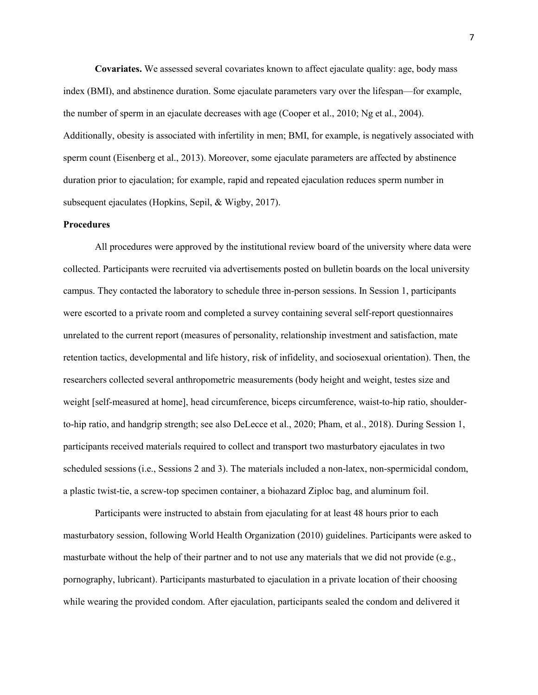**Covariates.** We assessed several covariates known to affect ejaculate quality: age, body mass index (BMI), and abstinence duration. Some ejaculate parameters vary over the lifespan—for example, the number of sperm in an ejaculate decreases with age (Cooper et al., 2010; Ng et al., 2004). Additionally, obesity is associated with infertility in men; BMI, for example, is negatively associated with sperm count (Eisenberg et al., 2013). Moreover, some ejaculate parameters are affected by abstinence duration prior to ejaculation; for example, rapid and repeated ejaculation reduces sperm number in subsequent ejaculates (Hopkins, Sepil, & Wigby, 2017).

#### **Procedures**

All procedures were approved by the institutional review board of the university where data were collected. Participants were recruited via advertisements posted on bulletin boards on the local university campus. They contacted the laboratory to schedule three in-person sessions. In Session 1, participants were escorted to a private room and completed a survey containing several self-report questionnaires unrelated to the current report (measures of personality, relationship investment and satisfaction, mate retention tactics, developmental and life history, risk of infidelity, and sociosexual orientation). Then, the researchers collected several anthropometric measurements (body height and weight, testes size and weight [self-measured at home], head circumference, biceps circumference, waist-to-hip ratio, shoulderto-hip ratio, and handgrip strength; see also DeLecce et al., 2020; Pham, et al., 2018). During Session 1, participants received materials required to collect and transport two masturbatory ejaculates in two scheduled sessions (i.e., Sessions 2 and 3). The materials included a non-latex, non-spermicidal condom, a plastic twist-tie, a screw-top specimen container, a biohazard Ziploc bag, and aluminum foil.

Participants were instructed to abstain from ejaculating for at least 48 hours prior to each masturbatory session, following World Health Organization (2010) guidelines. Participants were asked to masturbate without the help of their partner and to not use any materials that we did not provide (e.g., pornography, lubricant). Participants masturbated to ejaculation in a private location of their choosing while wearing the provided condom. After ejaculation, participants sealed the condom and delivered it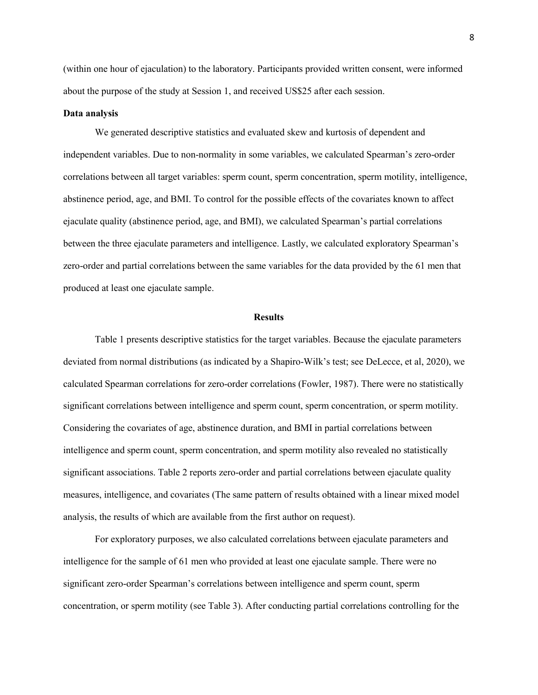(within one hour of ejaculation) to the laboratory. Participants provided written consent, were informed about the purpose of the study at Session 1, and received US\$25 after each session.

### **Data analysis**

We generated descriptive statistics and evaluated skew and kurtosis of dependent and independent variables. Due to non-normality in some variables, we calculated Spearman's zero-order correlations between all target variables: sperm count, sperm concentration, sperm motility, intelligence, abstinence period, age, and BMI. To control for the possible effects of the covariates known to affect ejaculate quality (abstinence period, age, and BMI), we calculated Spearman's partial correlations between the three ejaculate parameters and intelligence. Lastly, we calculated exploratory Spearman's zero-order and partial correlations between the same variables for the data provided by the 61 men that produced at least one ejaculate sample.

#### **Results**

Table 1 presents descriptive statistics for the target variables. Because the ejaculate parameters deviated from normal distributions (as indicated by a Shapiro-Wilk's test; see DeLecce, et al, 2020), we calculated Spearman correlations for zero-order correlations (Fowler, 1987). There were no statistically significant correlations between intelligence and sperm count, sperm concentration, or sperm motility. Considering the covariates of age, abstinence duration, and BMI in partial correlations between intelligence and sperm count, sperm concentration, and sperm motility also revealed no statistically significant associations. Table 2 reports zero-order and partial correlations between ejaculate quality measures, intelligence, and covariates (The same pattern of results obtained with a linear mixed model analysis, the results of which are available from the first author on request).

For exploratory purposes, we also calculated correlations between ejaculate parameters and intelligence for the sample of 61 men who provided at least one ejaculate sample. There were no significant zero-order Spearman's correlations between intelligence and sperm count, sperm concentration, or sperm motility (see Table 3). After conducting partial correlations controlling for the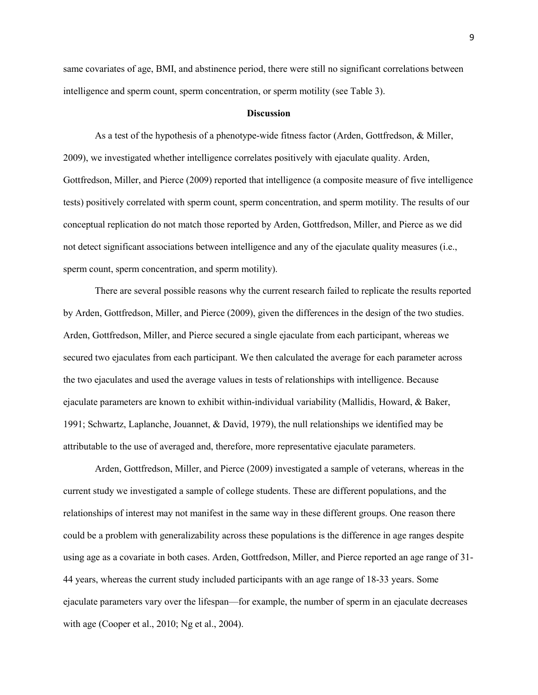same covariates of age, BMI, and abstinence period, there were still no significant correlations between intelligence and sperm count, sperm concentration, or sperm motility (see Table 3).

#### **Discussion**

As a test of the hypothesis of a phenotype-wide fitness factor (Arden, Gottfredson, & Miller, 2009), we investigated whether intelligence correlates positively with ejaculate quality. Arden, Gottfredson, Miller, and Pierce (2009) reported that intelligence (a composite measure of five intelligence tests) positively correlated with sperm count, sperm concentration, and sperm motility. The results of our conceptual replication do not match those reported by Arden, Gottfredson, Miller, and Pierce as we did not detect significant associations between intelligence and any of the ejaculate quality measures (i.e., sperm count, sperm concentration, and sperm motility).

There are several possible reasons why the current research failed to replicate the results reported by Arden, Gottfredson, Miller, and Pierce (2009), given the differences in the design of the two studies. Arden, Gottfredson, Miller, and Pierce secured a single ejaculate from each participant, whereas we secured two ejaculates from each participant. We then calculated the average for each parameter across the two ejaculates and used the average values in tests of relationships with intelligence. Because ejaculate parameters are known to exhibit within-individual variability (Mallidis, Howard, & Baker, 1991; Schwartz, Laplanche, Jouannet, & David, 1979), the null relationships we identified may be attributable to the use of averaged and, therefore, more representative ejaculate parameters.

Arden, Gottfredson, Miller, and Pierce (2009) investigated a sample of veterans, whereas in the current study we investigated a sample of college students. These are different populations, and the relationships of interest may not manifest in the same way in these different groups. One reason there could be a problem with generalizability across these populations is the difference in age ranges despite using age as a covariate in both cases. Arden, Gottfredson, Miller, and Pierce reported an age range of 31- 44 years, whereas the current study included participants with an age range of 18-33 years. Some ejaculate parameters vary over the lifespan—for example, the number of sperm in an ejaculate decreases with age (Cooper et al., 2010; Ng et al., 2004).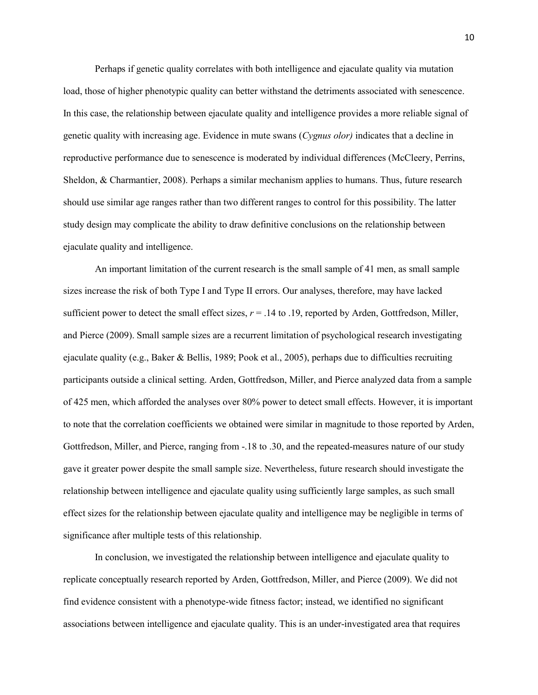Perhaps if genetic quality correlates with both intelligence and ejaculate quality via mutation load, those of higher phenotypic quality can better withstand the detriments associated with senescence. In this case, the relationship between ejaculate quality and intelligence provides a more reliable signal of genetic quality with increasing age. Evidence in mute swans (*Cygnus olor)* indicates that a decline in reproductive performance due to senescence is moderated by individual differences (McCleery, Perrins, Sheldon, & Charmantier, 2008). Perhaps a similar mechanism applies to humans. Thus, future research should use similar age ranges rather than two different ranges to control for this possibility. The latter study design may complicate the ability to draw definitive conclusions on the relationship between ejaculate quality and intelligence.

An important limitation of the current research is the small sample of 41 men, as small sample sizes increase the risk of both Type I and Type II errors. Our analyses, therefore, may have lacked sufficient power to detect the small effect sizes,  $r = .14$  to .19, reported by Arden, Gottfredson, Miller, and Pierce (2009). Small sample sizes are a recurrent limitation of psychological research investigating ejaculate quality (e.g., Baker & Bellis, 1989; Pook et al., 2005), perhaps due to difficulties recruiting participants outside a clinical setting. Arden, Gottfredson, Miller, and Pierce analyzed data from a sample of 425 men, which afforded the analyses over 80% power to detect small effects. However, it is important to note that the correlation coefficients we obtained were similar in magnitude to those reported by Arden, Gottfredson, Miller, and Pierce, ranging from -.18 to .30, and the repeated-measures nature of our study gave it greater power despite the small sample size. Nevertheless, future research should investigate the relationship between intelligence and ejaculate quality using sufficiently large samples, as such small effect sizes for the relationship between ejaculate quality and intelligence may be negligible in terms of significance after multiple tests of this relationship.

In conclusion, we investigated the relationship between intelligence and ejaculate quality to replicate conceptually research reported by Arden, Gottfredson, Miller, and Pierce (2009). We did not find evidence consistent with a phenotype-wide fitness factor; instead, we identified no significant associations between intelligence and ejaculate quality. This is an under-investigated area that requires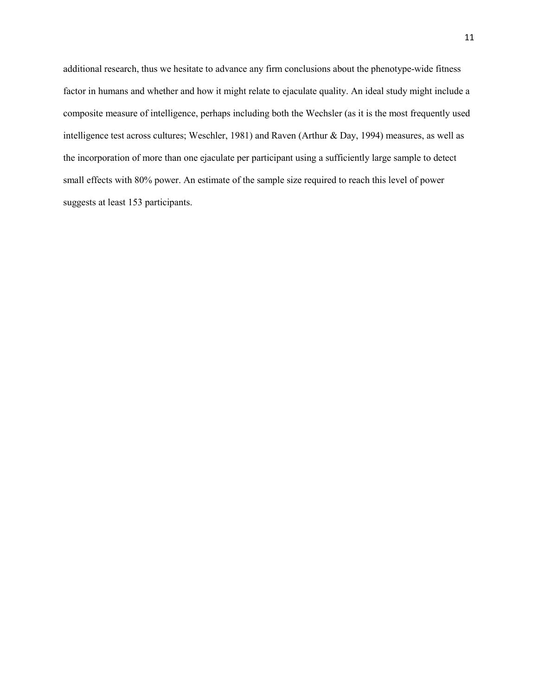additional research, thus we hesitate to advance any firm conclusions about the phenotype-wide fitness factor in humans and whether and how it might relate to ejaculate quality. An ideal study might include a composite measure of intelligence, perhaps including both the Wechsler (as it is the most frequently used intelligence test across cultures; Weschler, 1981) and Raven (Arthur & Day, 1994) measures, as well as the incorporation of more than one ejaculate per participant using a sufficiently large sample to detect small effects with 80% power. An estimate of the sample size required to reach this level of power suggests at least 153 participants.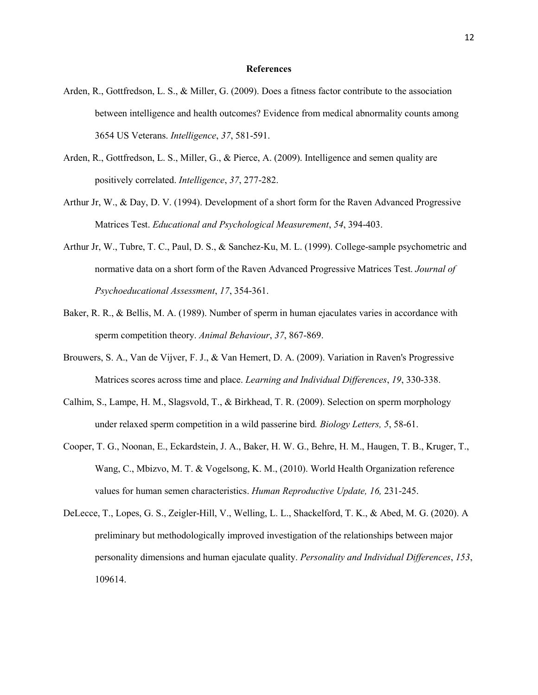#### **References**

- Arden, R., Gottfredson, L. S., & Miller, G. (2009). Does a fitness factor contribute to the association between intelligence and health outcomes? Evidence from medical abnormality counts among 3654 US Veterans. *Intelligence*, *37*, 581-591.
- Arden, R., Gottfredson, L. S., Miller, G., & Pierce, A. (2009). Intelligence and semen quality are positively correlated. *Intelligence*, *37*, 277-282.
- Arthur Jr, W., & Day, D. V. (1994). Development of a short form for the Raven Advanced Progressive Matrices Test. *Educational and Psychological Measurement*, *54*, 394-403.
- Arthur Jr, W., Tubre, T. C., Paul, D. S., & Sanchez-Ku, M. L. (1999). College-sample psychometric and normative data on a short form of the Raven Advanced Progressive Matrices Test. *Journal of Psychoeducational Assessment*, *17*, 354-361.
- Baker, R. R., & Bellis, M. A. (1989). Number of sperm in human ejaculates varies in accordance with sperm competition theory. *Animal Behaviour*, *37*, 867-869.
- Brouwers, S. A., Van de Vijver, F. J., & Van Hemert, D. A. (2009). Variation in Raven's Progressive Matrices scores across time and place. *Learning and Individual Differences*, *19*, 330-338.
- Calhim, S., Lampe, H. M., Slagsvold, T., & Birkhead, T. R. (2009). Selection on sperm morphology under relaxed sperm competition in a wild passerine bird*. Biology Letters, 5*, 58-61.
- Cooper, T. G., Noonan, E., Eckardstein, J. A., Baker, H. W. G., Behre, H. M., Haugen, T. B., Kruger, T., Wang, C., Mbizvo, M. T. & Vogelsong, K. M., (2010). World Health Organization reference values for human semen characteristics. *Human Reproductive Update, 16,* 231-245.
- DeLecce, T., Lopes, G. S., Zeigler-Hill, V., Welling, L. L., Shackelford, T. K., & Abed, M. G. (2020). A preliminary but methodologically improved investigation of the relationships between major personality dimensions and human ejaculate quality. *Personality and Individual Differences*, *153*, 109614.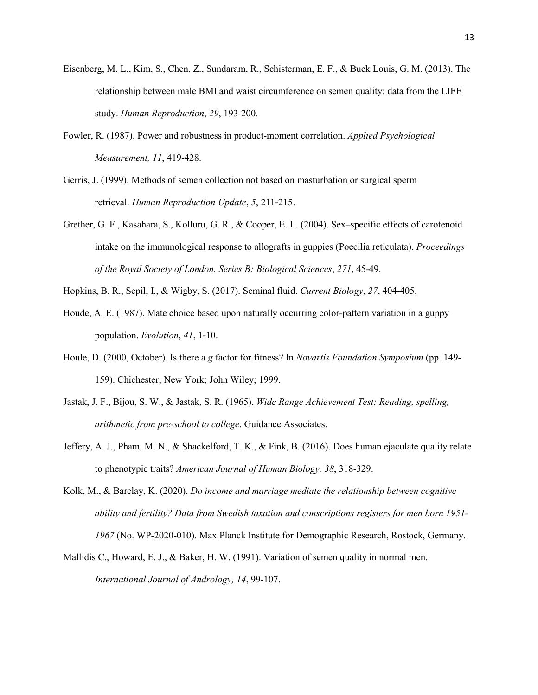- Eisenberg, M. L., Kim, S., Chen, Z., Sundaram, R., Schisterman, E. F., & Buck Louis, G. M. (2013). The relationship between male BMI and waist circumference on semen quality: data from the LIFE study. *Human Reproduction*, *29*, 193-200.
- Fowler, R. (1987). Power and robustness in product-moment correlation. *Applied Psychological Measurement, 11*, 419-428.
- Gerris, J. (1999). Methods of semen collection not based on masturbation or surgical sperm retrieval. *Human Reproduction Update*, *5*, 211-215.
- Grether, G. F., Kasahara, S., Kolluru, G. R., & Cooper, E. L. (2004). Sex–specific effects of carotenoid intake on the immunological response to allografts in guppies (Poecilia reticulata). *Proceedings of the Royal Society of London. Series B: Biological Sciences*, *271*, 45-49.
- Hopkins, B. R., Sepil, I., & Wigby, S. (2017). Seminal fluid. *Current Biology*, *27*, 404-405.
- Houde, A. E. (1987). Mate choice based upon naturally occurring color-pattern variation in a guppy population. *Evolution*, *41*, 1-10.
- Houle, D. (2000, October). Is there a *g* factor for fitness? In *Novartis Foundation Symposium* (pp. 149- 159). Chichester; New York; John Wiley; 1999.
- Jastak, J. F., Bijou, S. W., & Jastak, S. R. (1965). *Wide Range Achievement Test: Reading, spelling, arithmetic from pre-school to college*. Guidance Associates.
- Jeffery, A. J., Pham, M. N., & Shackelford, T. K., & Fink, B. (2016). Does human ejaculate quality relate to phenotypic traits? *American Journal of Human Biology, 38*, 318-329.
- Kolk, M., & Barclay, K. (2020). *Do income and marriage mediate the relationship between cognitive ability and fertility? Data from Swedish taxation and conscriptions registers for men born 1951- 1967* (No. WP-2020-010). Max Planck Institute for Demographic Research, Rostock, Germany.
- Mallidis C., Howard, E. J., & Baker, H. W. (1991). Variation of semen quality in normal men. *International Journal of Andrology, 14*, 99-107.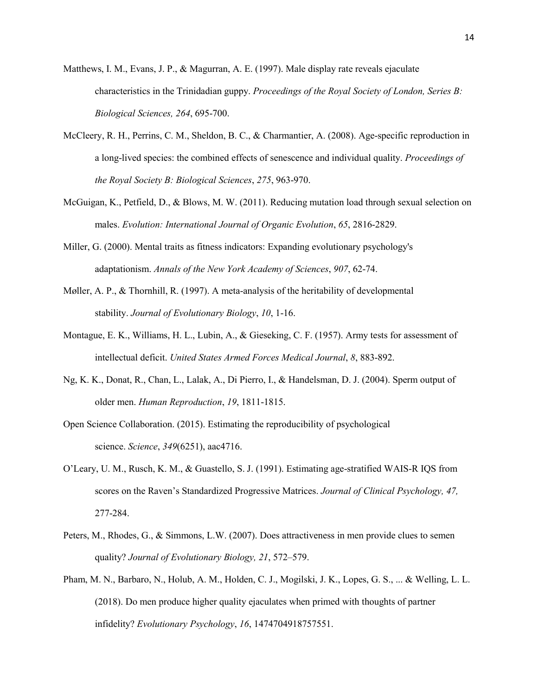- Matthews, I. M., Evans, J. P., & Magurran, A. E. (1997). Male display rate reveals ejaculate characteristics in the Trinidadian guppy. *Proceedings of the Royal Society of London, Series B: Biological Sciences, 264*, 695-700.
- McCleery, R. H., Perrins, C. M., Sheldon, B. C., & Charmantier, A. (2008). Age-specific reproduction in a long-lived species: the combined effects of senescence and individual quality. *Proceedings of the Royal Society B: Biological Sciences*, *275*, 963-970.
- McGuigan, K., Petfield, D., & Blows, M. W. (2011). Reducing mutation load through sexual selection on males. *Evolution: International Journal of Organic Evolution*, *65*, 2816-2829.
- Miller, G. (2000). Mental traits as fitness indicators: Expanding evolutionary psychology's adaptationism. *Annals of the New York Academy of Sciences*, *907*, 62-74.
- Møller, A. P., & Thornhill, R. (1997). A meta-analysis of the heritability of developmental stability. *Journal of Evolutionary Biology*, *10*, 1-16.
- Montague, E. K., Williams, H. L., Lubin, A., & Gieseking, C. F. (1957). Army tests for assessment of intellectual deficit. *United States Armed Forces Medical Journal*, *8*, 883-892.
- Ng, K. K., Donat, R., Chan, L., Lalak, A., Di Pierro, I., & Handelsman, D. J. (2004). Sperm output of older men. *Human Reproduction*, *19*, 1811-1815.
- Open Science Collaboration. (2015). Estimating the reproducibility of psychological science. *Science*, *349*(6251), aac4716.
- O'Leary, U. M., Rusch, K. M., & Guastello, S. J. (1991). Estimating age-stratified WAIS-R IQS from scores on the Raven's Standardized Progressive Matrices. *Journal of Clinical Psychology, 47,*  277-284.
- Peters, M., Rhodes, G., & Simmons, L.W. (2007). Does attractiveness in men provide clues to semen quality? *Journal of Evolutionary Biology, 21*, 572–579.
- Pham, M. N., Barbaro, N., Holub, A. M., Holden, C. J., Mogilski, J. K., Lopes, G. S., ... & Welling, L. L. (2018). Do men produce higher quality ejaculates when primed with thoughts of partner infidelity? *Evolutionary Psychology*, *16*, 1474704918757551.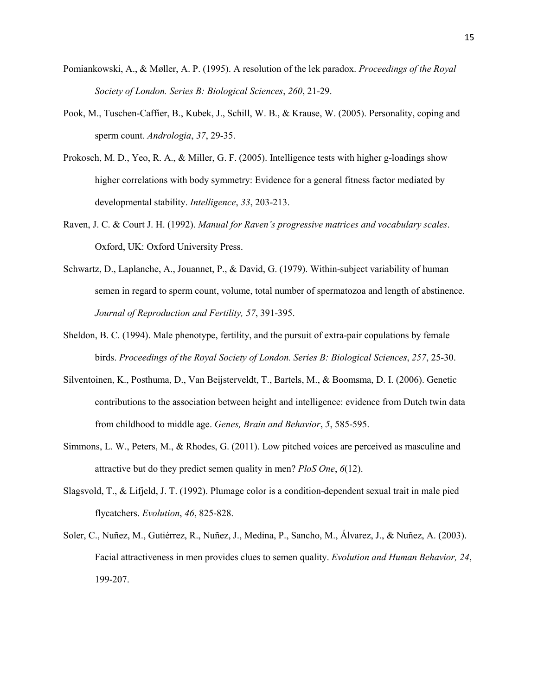- Pomiankowski, A., & Møller, A. P. (1995). A resolution of the lek paradox. *Proceedings of the Royal Society of London. Series B: Biological Sciences*, *260*, 21-29.
- Pook, M., Tuschen-Caffier, B., Kubek, J., Schill, W. B., & Krause, W. (2005). Personality, coping and sperm count. *Andrologia*, *37*, 29-35.
- Prokosch, M. D., Yeo, R. A., & Miller, G. F. (2005). Intelligence tests with higher g-loadings show higher correlations with body symmetry: Evidence for a general fitness factor mediated by developmental stability. *Intelligence*, *33*, 203-213.
- Raven, J. C. & Court J. H. (1992). *Manual for Raven's progressive matrices and vocabulary scales*. Oxford, UK: Oxford University Press.
- Schwartz, D., Laplanche, A., Jouannet, P., & David, G. (1979). Within-subject variability of human semen in regard to sperm count, volume, total number of spermatozoa and length of abstinence. *Journal of Reproduction and Fertility, 57*, 391-395.
- Sheldon, B. C. (1994). Male phenotype, fertility, and the pursuit of extra-pair copulations by female birds. *Proceedings of the Royal Society of London. Series B: Biological Sciences*, *257*, 25-30.
- Silventoinen, K., Posthuma, D., Van Beijsterveldt, T., Bartels, M., & Boomsma, D. I. (2006). Genetic contributions to the association between height and intelligence: evidence from Dutch twin data from childhood to middle age. *Genes, Brain and Behavior*, *5*, 585-595.
- Simmons, L. W., Peters, M., & Rhodes, G. (2011). Low pitched voices are perceived as masculine and attractive but do they predict semen quality in men? *PloS One*, *6*(12).
- Slagsvold, T., & Lifjeld, J. T. (1992). Plumage color is a condition-dependent sexual trait in male pied flycatchers. *Evolution*, *46*, 825-828.
- Soler, C., Nuñez, M., Gutiérrez, R., Nuñez, J., Medina, P., Sancho, M., Álvarez, J., & Nuñez, A. (2003). Facial attractiveness in men provides clues to semen quality. *Evolution and Human Behavior, 24*, 199-207.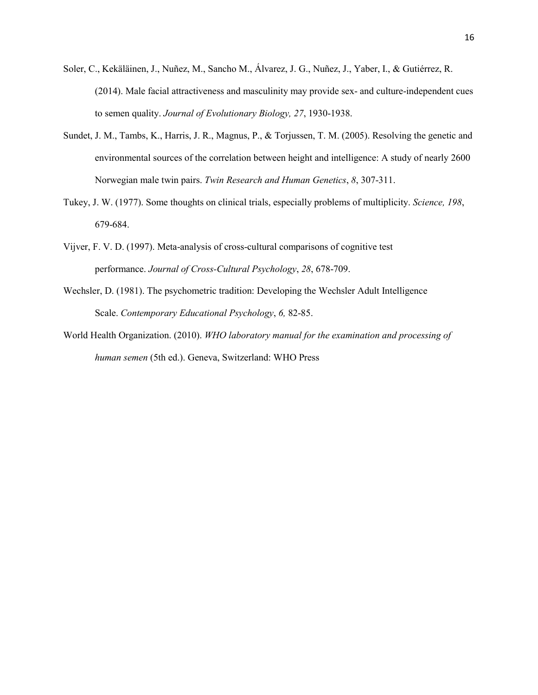- Soler, C., Kekäläinen, J., Nuñez, M., Sancho M., Álvarez, J. G., Nuñez, J., Yaber, I., & Gutiérrez, R. (2014). Male facial attractiveness and masculinity may provide sex- and culture-independent cues to semen quality. *Journal of Evolutionary Biology, 27*, 1930-1938.
- Sundet, J. M., Tambs, K., Harris, J. R., Magnus, P., & Torjussen, T. M. (2005). Resolving the genetic and environmental sources of the correlation between height and intelligence: A study of nearly 2600 Norwegian male twin pairs. *Twin Research and Human Genetics*, *8*, 307-311.
- Tukey, J. W. (1977). Some thoughts on clinical trials, especially problems of multiplicity. *Science, 198*, 679-684.
- Vijver, F. V. D. (1997). Meta-analysis of cross-cultural comparisons of cognitive test performance. *Journal of Cross-Cultural Psychology*, *28*, 678-709.
- Wechsler, D. (1981). The psychometric tradition: Developing the Wechsler Adult Intelligence Scale. *Contemporary Educational Psychology*, *6,* 82-85.
- World Health Organization. (2010). *WHO laboratory manual for the examination and processing of human semen* (5th ed.). Geneva, Switzerland: WHO Press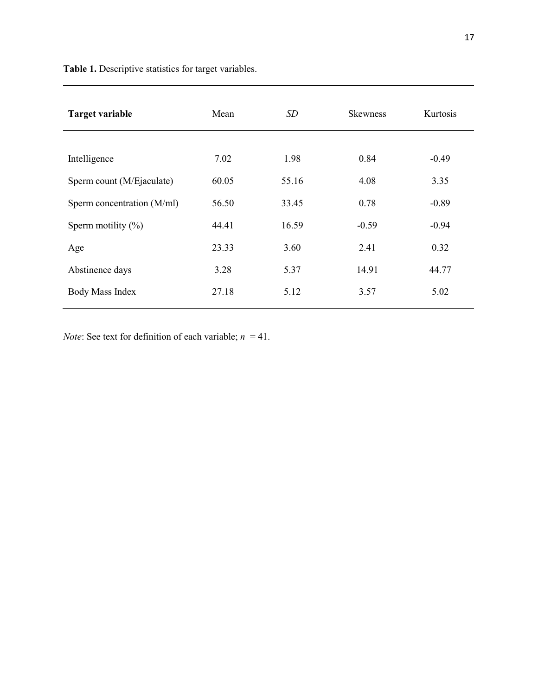**Table 1.** Descriptive statistics for target variables.

| <b>Target variable</b>     | Mean  | SD    | <b>Skewness</b> | Kurtosis |
|----------------------------|-------|-------|-----------------|----------|
|                            |       |       |                 |          |
| Intelligence               | 7.02  | 1.98  | 0.84            | $-0.49$  |
| Sperm count (M/Ejaculate)  | 60.05 | 55.16 | 4.08            | 3.35     |
| Sperm concentration (M/ml) | 56.50 | 33.45 | 0.78            | $-0.89$  |
| Sperm motility $(\%)$      | 44.41 | 16.59 | $-0.59$         | $-0.94$  |
| Age                        | 23.33 | 3.60  | 2.41            | 0.32     |
| Abstinence days            | 3.28  | 5.37  | 14.91           | 44.77    |
| Body Mass Index            | 27.18 | 5.12  | 3.57            | 5.02     |
|                            |       |       |                 |          |

*Note*: See text for definition of each variable;  $n = 41$ .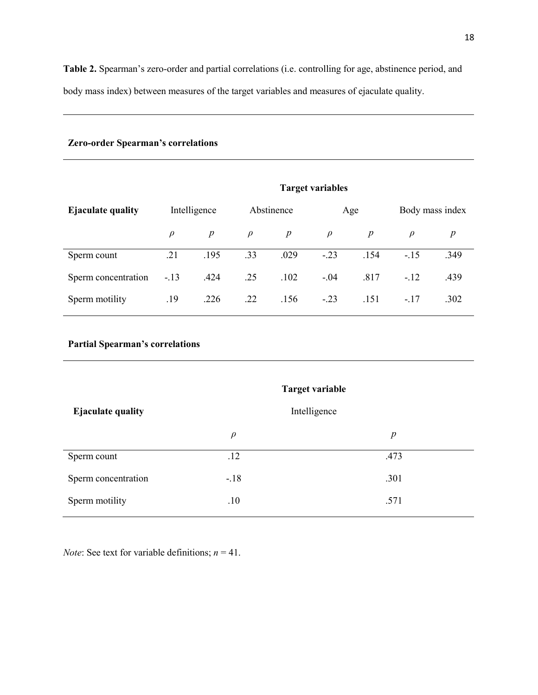**Table 2.** Spearman's zero-order and partial correlations (i.e. controlling for age, abstinence period, and body mass index) between measures of the target variables and measures of ejaculate quality.

# **Zero-order Spearman's correlations**

|                          | <b>Target variables</b> |                  |        |                  |        |                  |        |                 |
|--------------------------|-------------------------|------------------|--------|------------------|--------|------------------|--------|-----------------|
| <b>Ejaculate quality</b> |                         | Intelligence     |        | Abstinence       |        | Age              |        | Body mass index |
|                          | $\rho$                  | $\boldsymbol{p}$ | $\rho$ | $\boldsymbol{p}$ | $\rho$ | $\boldsymbol{p}$ | $\rho$ | p               |
| Sperm count              | .21                     | .195             | .33    | .029             | $-.23$ | .154             | $-.15$ | .349            |
| Sperm concentration      | $-.13$                  | .424             | .25    | .102             | $-.04$ | .817             | $-.12$ | .439            |
| Sperm motility           | .19                     | .226             | .22    | .156             | $-.23$ | .151             | $-.17$ | .302            |

# **Partial Spearman's correlations**

| <b>Ejaculate quality</b> |        | <b>Target variable</b><br>Intelligence |  |  |  |  |
|--------------------------|--------|----------------------------------------|--|--|--|--|
|                          | $\rho$ | $\boldsymbol{p}$                       |  |  |  |  |
| Sperm count              | .12    | .473                                   |  |  |  |  |
| Sperm concentration      | $-18$  | .301                                   |  |  |  |  |
| Sperm motility           | .10    | .571                                   |  |  |  |  |

*Note:* See text for variable definitions;  $n = 41$ .